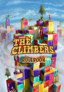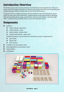### **Introduction/Overview**

*The Climbers gaze at the enormous mountain of colorful blocks towering before them. The goal is simple: climb to the highest level they can. However, getting there looks to be more challenging than originally thought. Only one Climber will come out on top. Will it be you?*

Your goal is to be at a higher level than all other Climbers at the end of the game. As you climb, you may move and rotate blocks. Ladders help you scale large distances. Blocking disks prevent others from using a specific block. Use your tools wisely—and at the right time—to make the best possible moves in your climb towards victory!

### **Components**

- $\Box$  35 blocks
	- $\bullet$  12 Size 1 blocks half-cubes
	- $\bullet$  12 Size 2 blocks cubes
	- $\bullet$  9 Size 4 blocks double cubes
	- 2 large neutral blocks triple cubes

*All blocks except the 2 neutral blocks have the following colors on opposing sides:*

- l *Teal / Purple*
- l *Yellow / Red*
- l *Pink / Neutral*
- 5 Climbers (1 in each player color)
- 5 blocking disks (1 in each player color)
- $\blacksquare$  5 short ladders
- $\blacksquare$  5 tall ladders

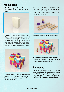## **Preparation**

1. Place the 2 large neutral blocks vertically next to each other in the middle of the table.



2. Place all of the remaining blocks around the two neutral ones so that both neutral blocks are completely hidden. Blocks may be placed in any direction, but the bottom side of each block must have full contact with the block(s) underneath. There cannot be any holes or overhanging blocks.



*All players should join together in building the structure! We recommend placing the larger blocks closer to the bottom and the smaller blocks towards the top.*

3. Each player chooses a Climber and takes one short ladder, one tall ladder, and the corresponding blocking disk. Return all remaining Climbers, blocking disks, and ladders to the box.



4.Place all Climbers on the table near the structure.



5. The player who most recently climbed a mountain goes first. Otherwise, randomly determine the starting player.

### **Gameplay**

Beginning with the starting player and continuing clockwise, players take turns moving their Climbers if possible, moving and/or rotating one block if desired, and utilizing ladders or blocking disks to reach the top.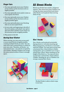#### **Player Turn**

- 1. You may optionally move your Climber across and/or up the structure as far as legally possible.
- 2. You may optionally move and/or rotate an unoccupied, free block.
- 3. You may optionally move your Climber across and/or up the structure as far as legally possible again.
- 4.You may optionally place your blocking disk on an unoccupied block.
- 5. In turn order and beginning to the left of the active player, each player may optionally move their Climber across and/or up the structure as far as legally possible.
- 6.Play passes to the left.

#### **Moving Your Climber**

When moving, you may move across and/ or up as many blocks as legally possible, crossing multiple blocks at a time. You can only move onto a neutral block or a block of your own color. Therefore, all blocks—except neutral ones—can only be occupied by one Climber. Multiple Climbers can occupy the same neutral surface if there is enough space.



### **All About Blocks**

Blocks are divided into smaller, imaginary squares. They show how many Climbers can occupy the same neutral block and where other blocks can be placed when moving them on top.



#### **Size 1 blocks**

Size 1 blocks can be placed horizontally (laying down) or vertically (standing up). When laying down, the block is at eye-level with the Climber. You may move up and onto a horizontal Size 1 block without a ladder. Laying down, up to 4 Climbers can occupy a neutral Size 1 block. When standing up, the height of the block is 2. You may not move up and onto a vertical Size 1 block without a ladder. Standing up, up to 2 Climbers can occupy a neutral Size 1 block.



*The Red Climber is able to climb 2 steps in one move.*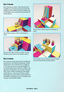#### **Size 2 blocks**

Size 2 blocks are cubes. These blocks have a height of 2. You may not move up the full height of a Size 2 block without a ladder. Up to 4 Climbers can occupy the neutral side of a Size 2 block.



*Size 2 blocks require a short or tall ladder to climb.*



*The neutral surface is fully occupied - the teal Climber cannot climb to the neutral surface!*

#### **Size 4 blocks**

Size 4 blocks can be placed horizontally (laying down) or vertically (standing up). When laying down, Size 4 blocks have a height of 2. You may not move up the full height of a horizontal Size 4 block without a ladder. Laying down, all Climbers can occupy a neutral Size 4 block. When standing up, the height of the block is 4. You may not move up the full height of a vertical Size 4 block without a tall ladder. Standing up, up to 4 Climbers can occupy a neutral Size 4 block.



*Vertical Size 4 blocks require a tall ladder to climb.*



*All 5 Climbers may occupy the neutral surface on the horizontal side of a Size 4 block.*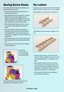## **Moving Across Blocks**

Any time when moving across blocks, you must follow these rules:

- You must move onto your own color or onto a neutral block.
- You may freely move upwards to a higher block if it is the same height of your Climber (equal to the height of a horizontal Size 1 block). If the height is taller than your Climber, you must use a ladder.
- If two blocks only touch at their corners, you cannot move diagonally between them.
- You must always move horizontally or upwards. You cannot move downwards to another block—even if you end up at the same or a higher level from where you originated.
- You cannot move onto a block that would then exceed the limit of allowable Climbers.
- You may use one or both of your ladders on the same turn.



*The Purple Climber cannot cross diagonally to the next block.*



*The Purple Climber may move across and upwards up to the topmost surface.*

## **The Ladders**

In general, any height taller than the height of your Climber requires the use of a ladder:

Short ladders can be used for a height of 2.



 Tall ladders can be used for a height of 2, 3, or 4.



- Ladders may only be used to climb the sides of a block. Ladders may not be used to climb diagonally or as bridges across gaps.
- Both ladders may be used on the same turn. However, the Climber must reach a surface in between using both ladders. Therefore, both ladders may not be combined into a single, very tall ladder.
- Once used, the ladder is immediately removed from the game.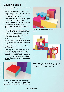## **Moving a Block**

When moving a block, you must follow these rules:

- Any block unoccupied by a Climber or a blocking disk, including the large neutral blocks, may be moved if no other block is on top of or partially on top of it.
- You may not move the block that the previous player before you just moved.
- You must place blocks with at least one of its sides touching the structure.
- Blocks may be rotated and placed back in the same spot.
- You may pick up and examine all sides of a block before moving it. If you return the block back to its original space without moving or rotating it, you may examine and move another block.
- The bottom side of each block must have full contact with the block(s) underneath. There cannot be any holes or overhanging blocks.
- It is possible to split the structure into separate parts.
- You may place a block on another block occupied by one or more Climbers by pushing the Climbers to make room for the block. You must follow the imaginary grid lines. Climbers may not be displaced from the block they occupy when placing the block.



*This Size 1 block displays the minimum requirements for placing a block: One of its imaginary squares touches another on the main structure.*



*Climbers may be pushed in order to place a block.*



*Holes and overhanging blocks are not allowed! The bottom side of each block must have full contact with the block(s) underneath.*